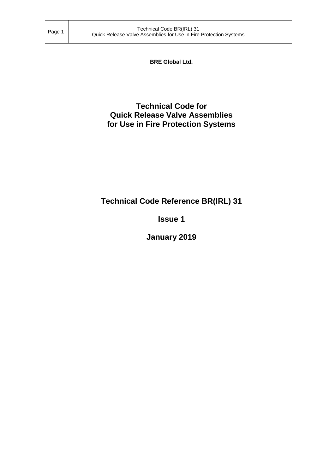**BRE Global Ltd.**

# **Technical Code for Quick Release Valve Assemblies for Use in Fire Protection Systems**

# **Technical Code Reference BR(IRL) 31**

# **Issue 1**

# **January 2019**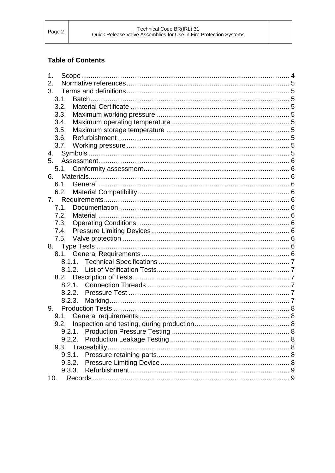# **Table of Contents**

| 1.     |  |
|--------|--|
| 2.     |  |
| 3.     |  |
| 3.1.   |  |
| 3.2.   |  |
| 3.3.   |  |
| 3.4.   |  |
| 3.5.   |  |
| 3.6.   |  |
|        |  |
| 4.     |  |
|        |  |
|        |  |
| 6.     |  |
| 6.1.   |  |
|        |  |
| 7.     |  |
| 7.1.   |  |
| 7.2.   |  |
| 7.3.   |  |
| 7.4.   |  |
| 7.5.   |  |
|        |  |
|        |  |
|        |  |
|        |  |
|        |  |
| 8.2.1. |  |
|        |  |
| 8.2.3. |  |
| 9.     |  |
|        |  |
|        |  |
| 9.2.1. |  |
| 9.2.2. |  |
|        |  |
| 9.3.1. |  |
| 9.3.2. |  |
| 9.3.3. |  |
| 10.    |  |
|        |  |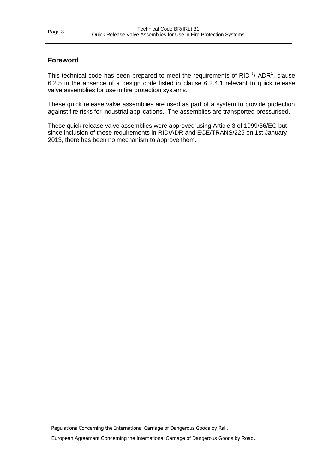-

# **Foreword**

This technical code has been prepared to meet the requirements of RID  $^1$ / ADR<sup>1</sup>, clause 6.2.5 in the absence of a design code listed in clause 6.2.4.1 relevant to quick release valve assemblies for use in fire protection systems.

These quick release valve assemblies are used as part of a system to provide protection against fire risks for industrial applications. The assemblies are transported pressurised.

These quick release valve assemblies were approved using Article 3 of 1999/36/EC but since inclusion of these requirements in RID/ADR and ECE/TRANS/225 on 1st January 2013, there has been no mechanism to approve them.

 $1$  Regulations Concerning the International Carriage of Dangerous Goods by Rail.

<sup>&</sup>lt;sup>1</sup> European Agreement Concerning the International Carriage of Dangerous Goods by Road.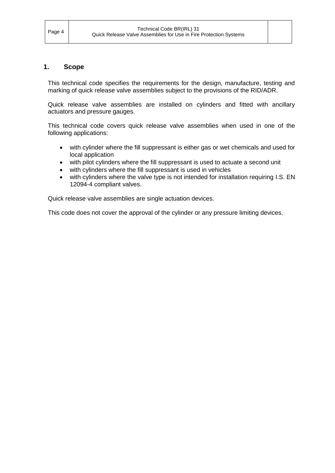#### <span id="page-3-0"></span>**1. Scope**

This technical code specifies the requirements for the design, manufacture, testing and marking of quick release valve assemblies subject to the provisions of the RID/ADR.

Quick release valve assemblies are installed on cylinders and fitted with ancillary actuators and pressure gauges.

This technical code covers quick release valve assemblies when used in one of the following applications:

- with cylinder where the fill suppressant is either gas or wet chemicals and used for local application
- with pilot cylinders where the fill suppressant is used to actuate a second unit
- with cylinders where the fill suppressant is used in vehicles
- with cylinders where the valve type is not intended for installation requiring I.S. EN 12094-4 compliant valves.

Quick release valve assemblies are single actuation devices.

This code does not cover the approval of the cylinder or any pressure limiting devices.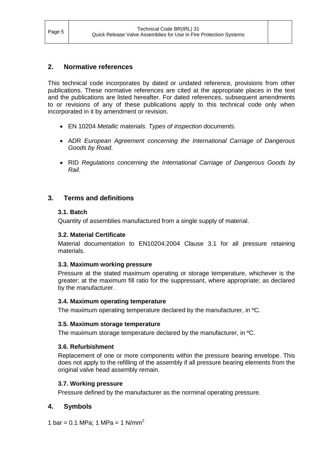# <span id="page-4-0"></span>**2. Normative references**

This technical code incorporates by dated or undated reference, provisions from other publications. These normative references are cited at the appropriate places in the text and the publications are listed hereafter. For dated references, subsequent amendments to or revisions of any of these publications apply to this technical code only when incorporated in it by amendment or revision.

- EN 10204 *Metallic materials. Types of inspection documents.*
- ADR *European Agreement concerning the International Carriage of Dangerous Goods by Road*.
- RID *Regulations concerning the International Carriage of Dangerous Goods by Rail*.

# <span id="page-4-2"></span><span id="page-4-1"></span>**3. Terms and definitions**

#### **3.1. Batch**

<span id="page-4-3"></span>Quantity of assemblies manufactured from a single supply of material.

#### **3.2. Material Certificate**

Material documentation to EN10204:2004 Clause 3.1 for all pressure retaining materials.

#### <span id="page-4-4"></span>**3.3. Maximum working pressure**

Pressure at the stated maximum operating or storage temperature, whichever is the greater; at the maximum fill ratio for the suppressant, where appropriate; as declared by the manufacturer.

#### <span id="page-4-5"></span>**3.4. Maximum operating temperature**

<span id="page-4-6"></span>The maximum operating temperature declared by the manufacturer, in ºC.

#### **3.5. Maximum storage temperature**

<span id="page-4-7"></span>The maximum storage temperature declared by the manufacturer, in ºC.

#### **3.6. Refurbishment**

Replacement of one or more components within the pressure bearing envelope. This does not apply to the refilling of the assembly if all pressure bearing elements from the original valve head assembly remain.

## <span id="page-4-8"></span>**3.7. Working pressure**

Pressure defined by the manufacturer as the norminal operating pressure.

## <span id="page-4-9"></span>**4. Symbols**

1 bar = 0.1 MPa; 1 MPa = 1 N/mm<sup>2</sup>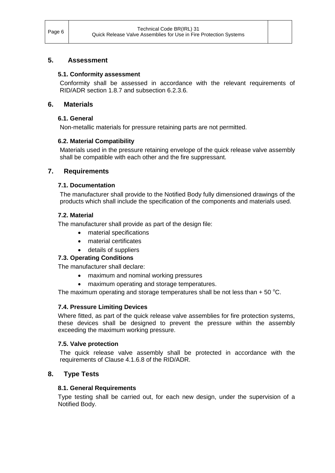# <span id="page-5-1"></span><span id="page-5-0"></span>**5. Assessment**

## **5.1. Conformity assessment**

Conformity shall be assessed in accordance with the relevant requirements of RID/ADR section 1.8.7 and subsection 6.2.3.6.

## <span id="page-5-3"></span><span id="page-5-2"></span>**6. Materials**

# **6.1. General**

Non-metallic materials for pressure retaining parts are not permitted.

# <span id="page-5-4"></span>**6.2. Material Compatibility**

Materials used in the pressure retaining envelope of the quick release valve assembly shall be compatible with each other and the fire suppressant.

# <span id="page-5-6"></span><span id="page-5-5"></span>**7. Requirements**

## **7.1. Documentation**

The manufacturer shall provide to the Notified Body fully dimensioned drawings of the products which shall include the specification of the components and materials used.

## <span id="page-5-7"></span>**7.2. Material**

The manufacturer shall provide as part of the design file:

- material specifications
- material certificates
- details of suppliers

# <span id="page-5-8"></span>**7.3. Operating Conditions**

The manufacturer shall declare:

- maximum and nominal working pressures
- maximum operating and storage temperatures.

The maximum operating and storage temperatures shall be not less than  $+50^{\circ}$ C.

## <span id="page-5-9"></span>**7.4. Pressure Limiting Devices**

Where fitted, as part of the quick release valve assemblies for fire protection systems, these devices shall be designed to prevent the pressure within the assembly exceeding the maximum working pressure.

## <span id="page-5-10"></span>**7.5. Valve protection**

The quick release valve assembly shall be protected in accordance with the requirements of Clause 4.1.6.8 of the RID/ADR.

# <span id="page-5-12"></span><span id="page-5-11"></span>**8. Type Tests**

## **8.1. General Requirements**

Type testing shall be carried out, for each new design, under the supervision of a Notified Body.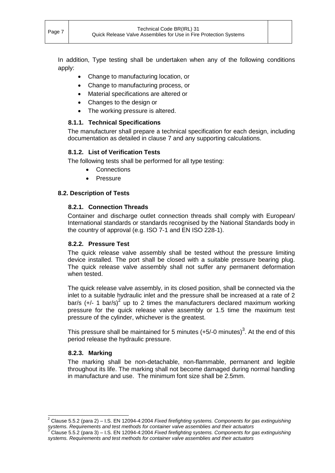In addition, Type testing shall be undertaken when any of the following conditions apply:

- Change to manufacturing location, or
- Change to manufacturing process, or
- Material specifications are altered or
- Changes to the design or
- The working pressure is altered.

# <span id="page-6-0"></span>**8.1.1. Technical Specifications**

The manufacturer shall prepare a technical specification for each design, including documentation as detailed in clause 7 and any supporting calculations.

# <span id="page-6-1"></span>**8.1.2. List of Verification Tests**

The following tests shall be performed for all type testing:

- Connections
- **•** Pressure

# <span id="page-6-3"></span><span id="page-6-2"></span>**8.2. Description of Tests**

## **8.2.1. Connection Threads**

Container and discharge outlet connection threads shall comply with European/ International standards or standards recognised by the National Standards body in the country of approval (e.g. ISO 7-1 and EN ISO 228-1).

## <span id="page-6-4"></span>**8.2.2. Pressure Test**

The quick release valve assembly shall be tested without the pressure limiting device installed. The port shall be closed with a suitable pressure bearing plug. The quick release valve assembly shall not suffer any permanent deformation when tested.

The quick release valve assembly, in its closed position, shall be connected via the inlet to a suitable hydraulic inlet and the pressure shall be increased at a rate of 2 bar/s (+/- 1 bar/s)<sup>2</sup> up to 2 times the manufacturers declared maximum working pressure for the quick release valve assembly or 1.5 time the maximum test pressure of the cylinder, whichever is the greatest.

This pressure shall be maintained for 5 minutes (+5/-0 minutes)<sup>3</sup>. At the end of this period release the hydraulic pressure.

## <span id="page-6-5"></span>**8.2.3. Marking**

 $\overline{a}$ 

The marking shall be non-detachable, non-flammable, permanent and legible throughout its life. The marking shall not become damaged during normal handling in manufacture and use. The minimum font size shall be 2.5mm.

<sup>2</sup> Clause 5.5.2 (para 2) – I.S. EN 12094-4:2004 *Fixed firefighting systems. Components for gas extinguishing*  systems. Requirements and test methods for container valve assemblies and their actuators<sup>3</sup><br><sup>3</sup> Clause 5.5.2 (pars.2). L.C. EN 1988 1, 1989, F.C. E.C. E.

<sup>3</sup> Clause 5.5.2 (para 3) – I.S. EN 12094-4:2004 *Fixed firefighting systems. Components for gas extinguishing systems. Requirements and test methods for container valve assemblies and their actuators*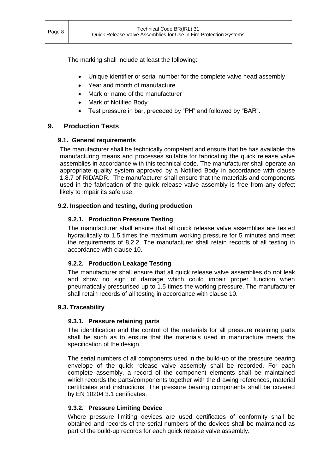The marking shall include at least the following:

- Unique identifier or serial number for the complete valve head assembly
- Year and month of manufacture
- Mark or name of the manufacturer
- Mark of Notified Body
- Test pressure in bar, preceded by "PH" and followed by "BAR".

# <span id="page-7-1"></span><span id="page-7-0"></span>**9. Production Tests**

## **9.1. General requirements**

The manufacturer shall be technically competent and ensure that he has available the manufacturing means and processes suitable for fabricating the quick release valve assemblies in accordance with this technical code. The manufacturer shall operate an appropriate quality system approved by a Notified Body in accordance with clause 1.8.7 of RID/ADR. The manufacturer shall ensure that the materials and components used in the fabrication of the quick release valve assembly is free from any defect likely to impair its safe use.

## <span id="page-7-3"></span><span id="page-7-2"></span>**9.2. Inspection and testing, during production**

# **9.2.1. Production Pressure Testing**

The manufacturer shall ensure that all quick release valve assemblies are tested hydraulically to 1.5 times the maximum working pressure for 5 minutes and meet the requirements of 8.2.2. The manufacturer shall retain records of all testing in accordance with clause 10.

## <span id="page-7-4"></span>**9.2.2. Production Leakage Testing**

The manufacturer shall ensure that all quick release valve assemblies do not leak and show no sign of damage which could impair proper function when pneumatically pressurised up to 1.5 times the working pressure. The manufacturer shall retain records of all testing in accordance with clause 10.

## <span id="page-7-6"></span><span id="page-7-5"></span>**9.3. Traceability**

## **9.3.1. Pressure retaining parts**

The identification and the control of the materials for all pressure retaining parts shall be such as to ensure that the materials used in manufacture meets the specification of the design.

The serial numbers of all components used in the build-up of the pressure bearing envelope of the quick release valve assembly shall be recorded. For each complete assembly, a record of the component elements shall be maintained which records the parts/components together with the drawing references, material certificates and instructions. The pressure bearing components shall be covered by EN 10204 3.1 certificates.

## <span id="page-7-7"></span>**9.3.2. Pressure Limiting Device**

Where pressure limiting devices are used certificates of conformity shall be obtained and records of the serial numbers of the devices shall be maintained as part of the build-up records for each quick release valve assembly.